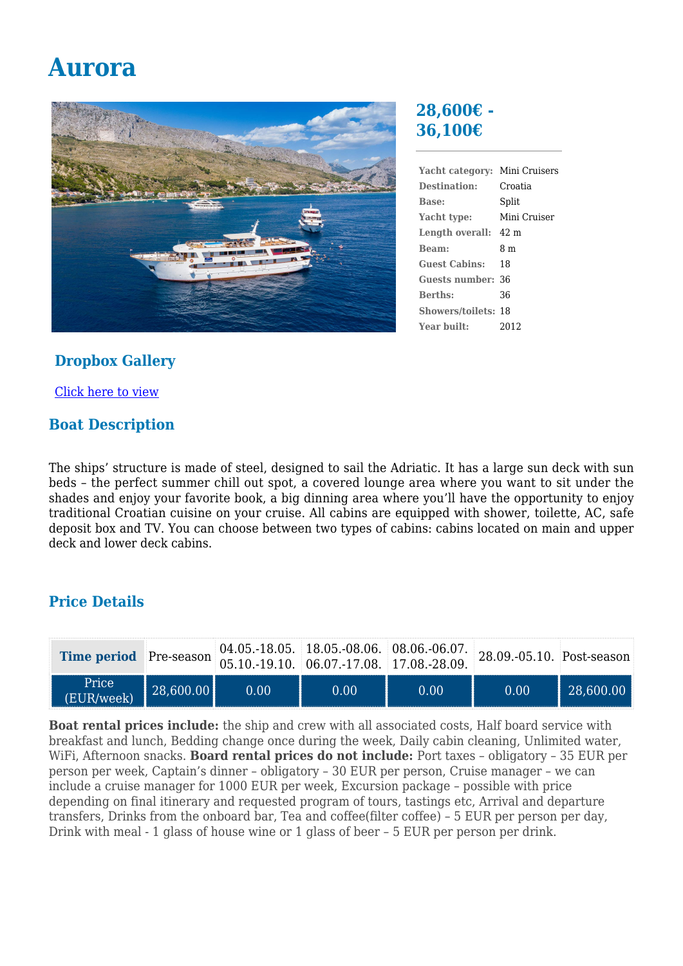# **Aurora**



#### **28,600€ - 36,100€**

**Yacht category:** Mini Cruisers **Destination:** Croatia **Base:** Split **Yacht type:** Mini Cruiser **Length overall:** 42 m **Beam:** 8 m **Guest Cabins:** 18 **Guests number:** 36 **Berths:** 36 **Showers/toilets:** 18 **Year built:** 2012

### **Dropbox Gallery**

[Click here to view](https://www.dropbox.com/sh/5cmtuvkka12mdqq/AACYH4SM1XffCJs4wKx4Xl-9a?dl=0)

## **Boat Description**

The ships' structure is made of steel, designed to sail the Adriatic. It has a large sun deck with sun beds – the perfect summer chill out spot, a covered lounge area where you want to sit under the shades and enjoy your favorite book, a big dinning area where you'll have the opportunity to enjoy traditional Croatian cuisine on your cruise. All cabins are equipped with shower, toilette, AC, safe deposit box and TV. You can choose between two types of cabins: cabins located on main and upper deck and lower deck cabins.

## **Price Details**

| Time period Pre-season 05.10.-19.10. 06.07.-17.08. 17.08.-28.09. |                   |      | $04.05.-18.05.$ 18.05.-08.06. 08.06.-06.07. 28.09.-05.10. Post-seasor |      |      |           |
|------------------------------------------------------------------|-------------------|------|-----------------------------------------------------------------------|------|------|-----------|
| Price<br>(EUR/week)                                              | $\  28,600.00 \ $ | 0.00 | 0.00                                                                  | 0.00 | 0.00 | 28,600.00 |

**Boat rental prices include:** the ship and crew with all associated costs, Half board service with breakfast and lunch, Bedding change once during the week, Daily cabin cleaning, Unlimited water, WiFi, Afternoon snacks. **Board rental prices do not include:** Port taxes – obligatory – 35 EUR per person per week, Captain's dinner – obligatory – 30 EUR per person, Cruise manager – we can include a cruise manager for 1000 EUR per week, Excursion package – possible with price depending on final itinerary and requested program of tours, tastings etc, Arrival and departure transfers, Drinks from the onboard bar, Tea and coffee(filter coffee) – 5 EUR per person per day, Drink with meal - 1 glass of house wine or 1 glass of beer – 5 EUR per person per drink.